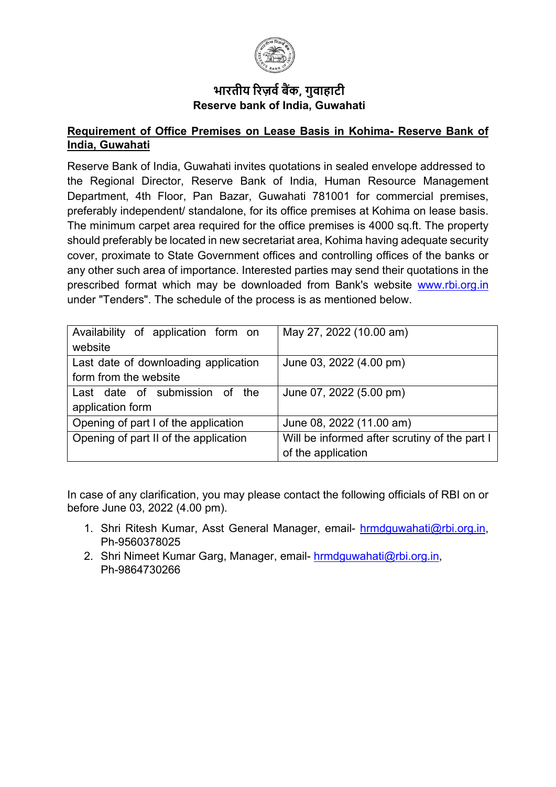

## **भारतीय �रज़व� ब�क, गुवाहाटी Reserve bank of India, Guwahati**

#### **Requirement of Office Premises on Lease Basis in Kohima- Reserve Bank of India, Guwahati**

Reserve Bank of India, Guwahati invites quotations in sealed envelope addressed to the Regional Director, Reserve Bank of India, Human Resource Management Department, 4th Floor, Pan Bazar, Guwahati 781001 for commercial premises, preferably independent/ standalone, for its office premises at Kohima on lease basis. The minimum carpet area required for the office premises is 4000 sq.ft. The property should preferably be located in new secretariat area, Kohima having adequate security cover, proximate to State Government offices and controlling offices of the banks or any other such area of importance. Interested parties may send their quotations in the prescribed format which may be downloaded from Bank's website [www.rbi.org.in](https://www.rbi.org.in/) under "Tenders". The schedule of the process is as mentioned below.

| Availability of application form on   | May 27, 2022 (10.00 am)                       |
|---------------------------------------|-----------------------------------------------|
| website                               |                                               |
| Last date of downloading application  | June 03, 2022 (4.00 pm)                       |
| form from the website                 |                                               |
| Last date of submission of the        | June 07, 2022 (5.00 pm)                       |
| application form                      |                                               |
| Opening of part I of the application  | June 08, 2022 (11.00 am)                      |
| Opening of part II of the application | Will be informed after scrutiny of the part I |
|                                       | of the application                            |

In case of any clarification, you may please contact the following officials of RBI on or before June 03, 2022 (4.00 pm).

- 1. Shri Ritesh Kumar, Asst General Manager, email- [hrmdguwahati@rbi.org.in,](mailto:hrmdguwahati@rbi.org.in) Ph-9560378025
- 2. Shri Nimeet Kumar Garg, Manager, email- [hrmdguwahati@rbi.org.in,](mailto:hrmdguwahati@rbi.org.in) Ph-9864730266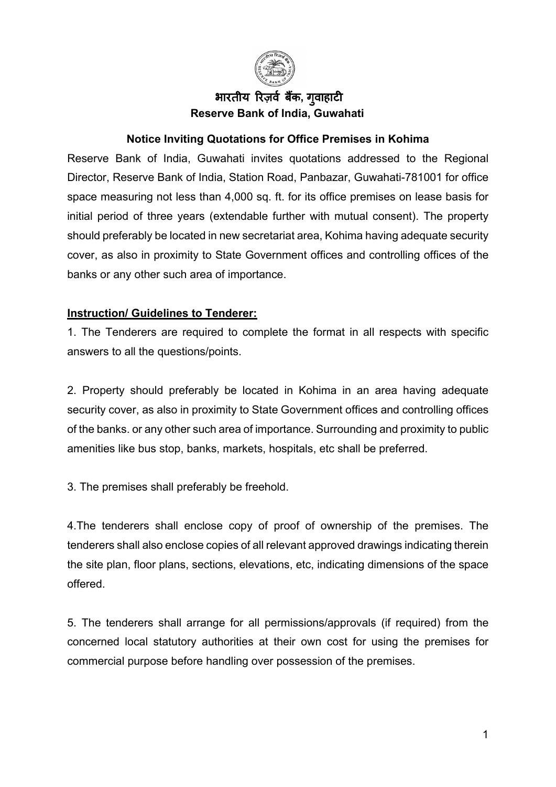

## भारतीय रिज़र्व बैंक, गवाहाटी **Reserve Bank of India, Guwahati**

### **Notice Inviting Quotations for Office Premises in Kohima**

Reserve Bank of India, Guwahati invites quotations addressed to the Regional Director, Reserve Bank of India, Station Road, Panbazar, Guwahati-781001 for office space measuring not less than 4,000 sq. ft. for its office premises on lease basis for initial period of three years (extendable further with mutual consent). The property should preferably be located in new secretariat area, Kohima having adequate security cover, as also in proximity to State Government offices and controlling offices of the banks or any other such area of importance.

### **Instruction/ Guidelines to Tenderer:**

1. The Tenderers are required to complete the format in all respects with specific answers to all the questions/points.

2. Property should preferably be located in Kohima in an area having adequate security cover, as also in proximity to State Government offices and controlling offices of the banks. or any other such area of importance. Surrounding and proximity to public amenities like bus stop, banks, markets, hospitals, etc shall be preferred.

3. The premises shall preferably be freehold.

4.The tenderers shall enclose copy of proof of ownership of the premises. The tenderers shall also enclose copies of all relevant approved drawings indicating therein the site plan, floor plans, sections, elevations, etc, indicating dimensions of the space offered.

5. The tenderers shall arrange for all permissions/approvals (if required) from the concerned local statutory authorities at their own cost for using the premises for commercial purpose before handling over possession of the premises.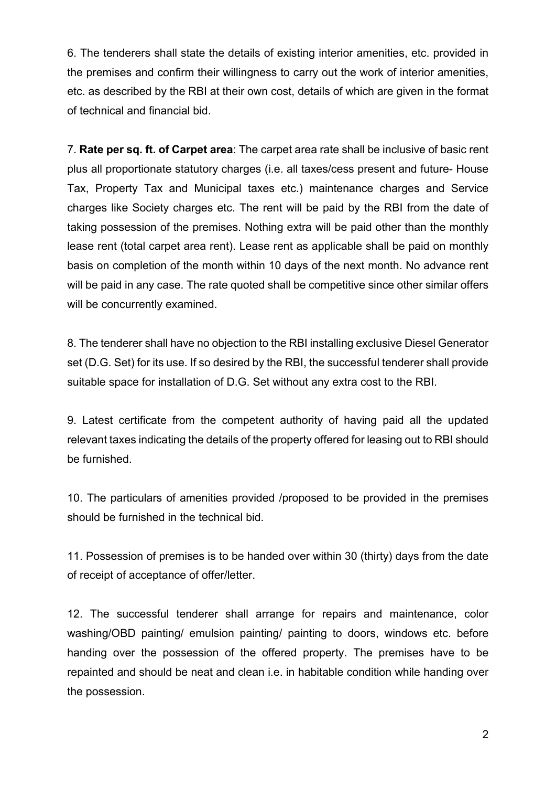6. The tenderers shall state the details of existing interior amenities, etc. provided in the premises and confirm their willingness to carry out the work of interior amenities, etc. as described by the RBI at their own cost, details of which are given in the format of technical and financial bid.

7. **Rate per sq. ft. of Carpet area**: The carpet area rate shall be inclusive of basic rent plus all proportionate statutory charges (i.e. all taxes/cess present and future- House Tax, Property Tax and Municipal taxes etc.) maintenance charges and Service charges like Society charges etc. The rent will be paid by the RBI from the date of taking possession of the premises. Nothing extra will be paid other than the monthly lease rent (total carpet area rent). Lease rent as applicable shall be paid on monthly basis on completion of the month within 10 days of the next month. No advance rent will be paid in any case. The rate quoted shall be competitive since other similar offers will be concurrently examined.

8. The tenderer shall have no objection to the RBI installing exclusive Diesel Generator set (D.G. Set) for its use. If so desired by the RBI, the successful tenderer shall provide suitable space for installation of D.G. Set without any extra cost to the RBI.

9. Latest certificate from the competent authority of having paid all the updated relevant taxes indicating the details of the property offered for leasing out to RBI should be furnished.

10. The particulars of amenities provided /proposed to be provided in the premises should be furnished in the technical bid.

11. Possession of premises is to be handed over within 30 (thirty) days from the date of receipt of acceptance of offer/letter.

12. The successful tenderer shall arrange for repairs and maintenance, color washing/OBD painting/ emulsion painting/ painting to doors, windows etc. before handing over the possession of the offered property. The premises have to be repainted and should be neat and clean i.e. in habitable condition while handing over the possession.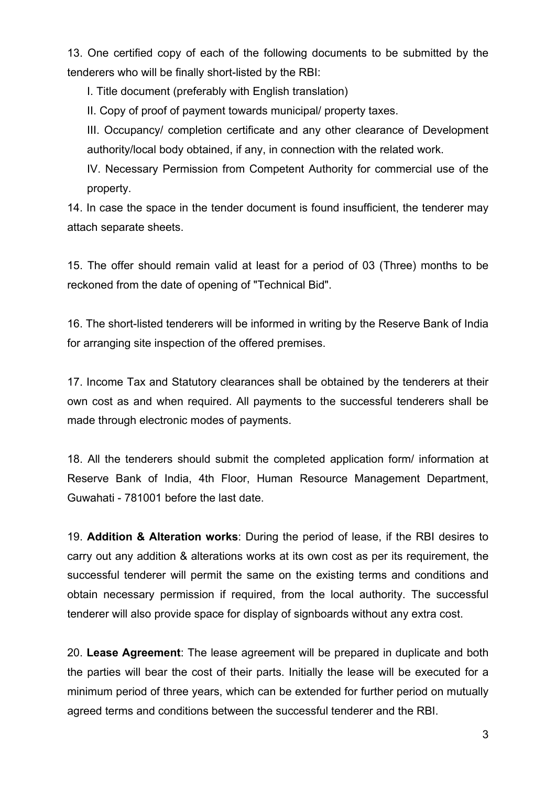13. One certified copy of each of the following documents to be submitted by the tenderers who will be finally short-listed by the RBI:

I. Title document (preferably with English translation)

II. Copy of proof of payment towards municipal/ property taxes.

III. Occupancy/ completion certificate and any other clearance of Development authority/local body obtained, if any, in connection with the related work.

IV. Necessary Permission from Competent Authority for commercial use of the property.

14. In case the space in the tender document is found insufficient, the tenderer may attach separate sheets.

15. The offer should remain valid at least for a period of 03 (Three) months to be reckoned from the date of opening of "Technical Bid".

16. The short-listed tenderers will be informed in writing by the Reserve Bank of India for arranging site inspection of the offered premises.

17. Income Tax and Statutory clearances shall be obtained by the tenderers at their own cost as and when required. All payments to the successful tenderers shall be made through electronic modes of payments.

18. All the tenderers should submit the completed application form/ information at Reserve Bank of India, 4th Floor, Human Resource Management Department, Guwahati - 781001 before the last date.

19. **Addition & Alteration works**: During the period of lease, if the RBI desires to carry out any addition & alterations works at its own cost as per its requirement, the successful tenderer will permit the same on the existing terms and conditions and obtain necessary permission if required, from the local authority. The successful tenderer will also provide space for display of signboards without any extra cost.

20. **Lease Agreement**: The lease agreement will be prepared in duplicate and both the parties will bear the cost of their parts. Initially the lease will be executed for a minimum period of three years, which can be extended for further period on mutually agreed terms and conditions between the successful tenderer and the RBI.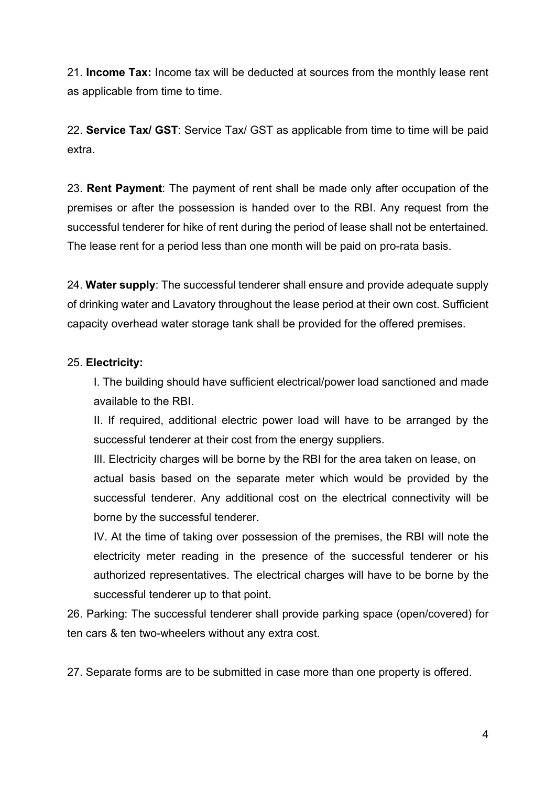21. **Income Tax:** Income tax will be deducted at sources from the monthly lease rent as applicable from time to time.

22. **Service Tax/ GST**: Service Tax/ GST as applicable from time to time will be paid extra.

23. **Rent Payment**: The payment of rent shall be made only after occupation of the premises or after the possession is handed over to the RBI. Any request from the successful tenderer for hike of rent during the period of lease shall not be entertained. The lease rent for a period less than one month will be paid on pro-rata basis.

24. **Water supply**: The successful tenderer shall ensure and provide adequate supply of drinking water and Lavatory throughout the lease period at their own cost. Sufficient capacity overhead water storage tank shall be provided for the offered premises.

### 25. **Electricity:**

I. The building should have sufficient electrical/power load sanctioned and made available to the RBI.

II. If required, additional electric power load will have to be arranged by the successful tenderer at their cost from the energy suppliers.

IlI. Electricity charges will be borne by the RBI for the area taken on lease, on actual basis based on the separate meter which would be provided by the successful tenderer. Any additional cost on the electrical connectivity will be borne by the successful tenderer.

IV. At the time of taking over possession of the premises, the RBI will note the electricity meter reading in the presence of the successful tenderer or his authorized representatives. The electrical charges will have to be borne by the successful tenderer up to that point.

26. Parking: The successful tenderer shall provide parking space (open/covered) for ten cars & ten two-wheelers without any extra cost.

27. Separate forms are to be submitted in case more than one property is offered.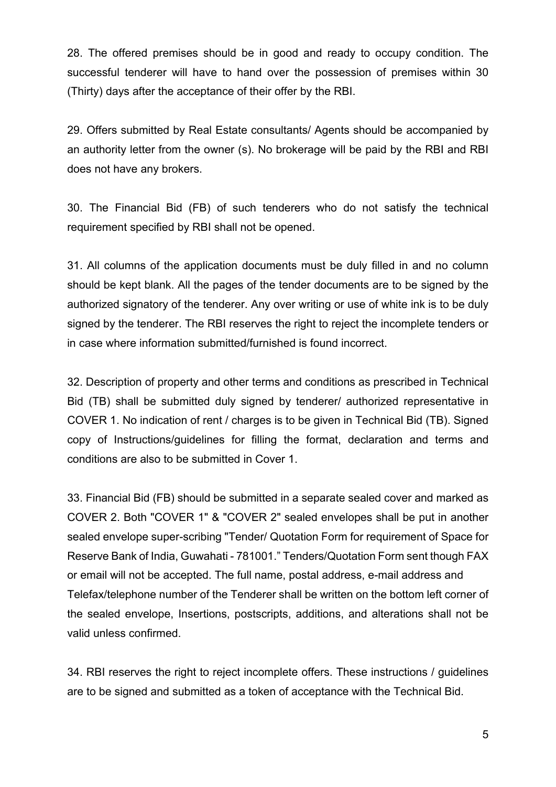28. The offered premises should be in good and ready to occupy condition. The successful tenderer will have to hand over the possession of premises within 30 (Thirty) days after the acceptance of their offer by the RBI.

29. Offers submitted by Real Estate consultants/ Agents should be accompanied by an authority letter from the owner (s). No brokerage will be paid by the RBI and RBI does not have any brokers.

30. The Financial Bid (FB) of such tenderers who do not satisfy the technical requirement specified by RBI shall not be opened.

31. All columns of the application documents must be duly filled in and no column should be kept blank. All the pages of the tender documents are to be signed by the authorized signatory of the tenderer. Any over writing or use of white ink is to be duly signed by the tenderer. The RBI reserves the right to reject the incomplete tenders or in case where information submitted/furnished is found incorrect.

32. Description of property and other terms and conditions as prescribed in Technical Bid (TB) shall be submitted duly signed by tenderer/ authorized representative in COVER 1. No indication of rent / charges is to be given in Technical Bid (TB). Signed copy of Instructions/guidelines for filling the format, declaration and terms and conditions are also to be submitted in Cover 1.

33. Financial Bid (FB) should be submitted in a separate sealed cover and marked as COVER 2. Both "COVER 1" & "COVER 2" sealed envelopes shall be put in another sealed envelope super-scribing "Tender/ Quotation Form for requirement of Space for Reserve Bank of India, Guwahati - 781001." Tenders/Quotation Form sent though FAX or email will not be accepted. The full name, postal address, e-mail address and Telefax/telephone number of the Tenderer shall be written on the bottom left corner of the sealed envelope, Insertions, postscripts, additions, and alterations shall not be valid unless confirmed.

34. RBI reserves the right to reject incomplete offers. These instructions / guidelines are to be signed and submitted as a token of acceptance with the Technical Bid.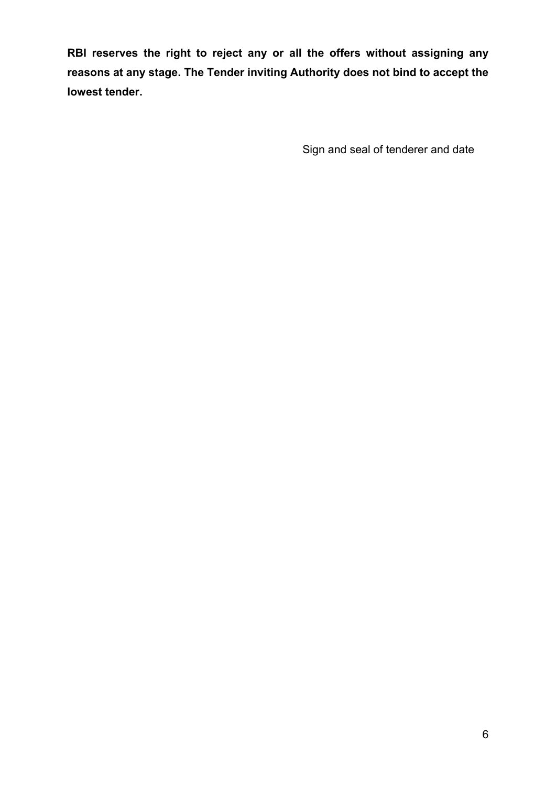**RBI reserves the right to reject any or all the offers without assigning any reasons at any stage. The Tender inviting Authority does not bind to accept the lowest tender.**

Sign and seal of tenderer and date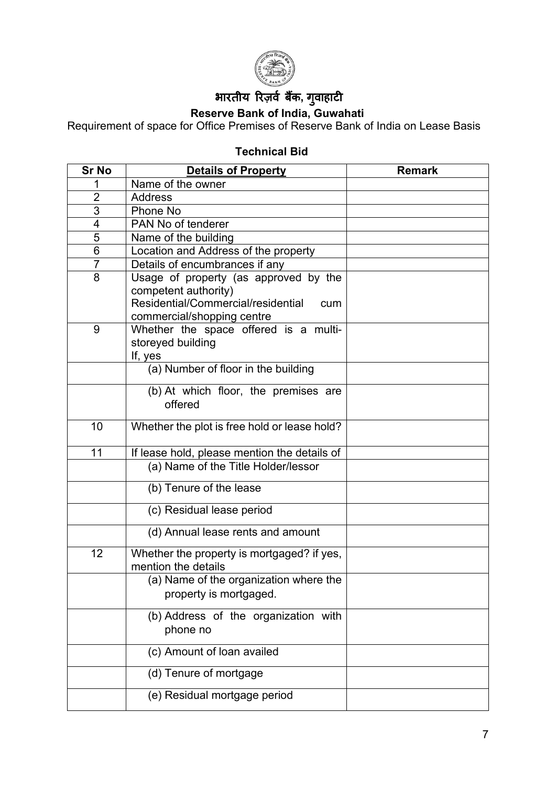

# भारतीय रिज़र्व बैंक, गुवाहाटी

**Reserve Bank of India, Guwahati** 

Requirement of space for Office Premises of Reserve Bank of India on Lease Basis

## **Technical Bid**

| <b>Sr No</b>   | <b>Details of Property</b>                                                                                                               | <b>Remark</b> |  |  |
|----------------|------------------------------------------------------------------------------------------------------------------------------------------|---------------|--|--|
|                | Name of the owner                                                                                                                        |               |  |  |
| $\overline{2}$ | <b>Address</b>                                                                                                                           |               |  |  |
| $\overline{3}$ | Phone No                                                                                                                                 |               |  |  |
| $\overline{4}$ | PAN No of tenderer                                                                                                                       |               |  |  |
| 5              | Name of the building                                                                                                                     |               |  |  |
| 6              | Location and Address of the property                                                                                                     |               |  |  |
| $\overline{7}$ | Details of encumbrances if any                                                                                                           |               |  |  |
| 8              | Usage of property (as approved by the<br>competent authority)<br>Residential/Commercial/residential<br>cum<br>commercial/shopping centre |               |  |  |
| 9              | Whether the space offered is a multi-<br>storeyed building<br>If, yes                                                                    |               |  |  |
|                | (a) Number of floor in the building                                                                                                      |               |  |  |
|                | (b) At which floor, the premises are<br>offered                                                                                          |               |  |  |
| 10             | Whether the plot is free hold or lease hold?                                                                                             |               |  |  |
| 11             | If lease hold, please mention the details of                                                                                             |               |  |  |
|                | (a) Name of the Title Holder/lessor                                                                                                      |               |  |  |
|                | (b) Tenure of the lease                                                                                                                  |               |  |  |
|                | (c) Residual lease period                                                                                                                |               |  |  |
|                | (d) Annual lease rents and amount                                                                                                        |               |  |  |
| 12             | Whether the property is mortgaged? if yes,<br>mention the details                                                                        |               |  |  |
|                | (a) Name of the organization where the<br>property is mortgaged.                                                                         |               |  |  |
|                | (b) Address of the organization with<br>phone no                                                                                         |               |  |  |
|                | (c) Amount of loan availed                                                                                                               |               |  |  |
|                | (d) Tenure of mortgage                                                                                                                   |               |  |  |
|                | (e) Residual mortgage period                                                                                                             |               |  |  |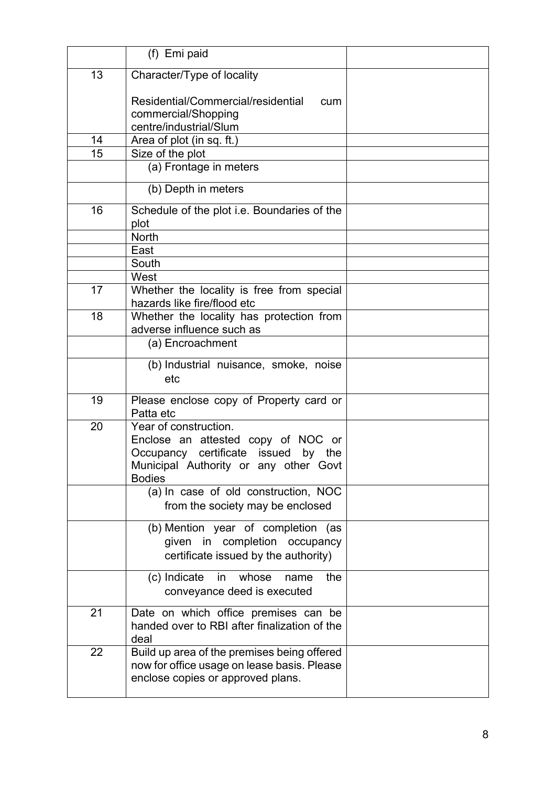|    | (f) Emi paid                                                                                                                                                 |  |
|----|--------------------------------------------------------------------------------------------------------------------------------------------------------------|--|
| 13 | Character/Type of locality                                                                                                                                   |  |
|    | Residential/Commercial/residential<br>cum<br>commercial/Shopping<br>centre/industrial/Slum                                                                   |  |
| 14 | Area of plot (in sq. ft.)                                                                                                                                    |  |
| 15 | Size of the plot                                                                                                                                             |  |
|    | (a) Frontage in meters                                                                                                                                       |  |
|    | (b) Depth in meters                                                                                                                                          |  |
| 16 | Schedule of the plot i.e. Boundaries of the<br>plot                                                                                                          |  |
|    | <b>North</b>                                                                                                                                                 |  |
|    | East                                                                                                                                                         |  |
|    | South                                                                                                                                                        |  |
| 17 | West<br>Whether the locality is free from special<br>hazards like fire/flood etc                                                                             |  |
| 18 | Whether the locality has protection from<br>adverse influence such as                                                                                        |  |
|    | (a) Encroachment                                                                                                                                             |  |
|    | (b) Industrial nuisance, smoke, noise<br>etc                                                                                                                 |  |
| 19 | Please enclose copy of Property card or<br>Patta etc                                                                                                         |  |
| 20 | Year of construction.<br>Enclose an attested copy of NOC or<br>Occupancy certificate issued by the<br>Municipal Authority or any other Govt<br><b>Bodies</b> |  |
|    | (a) In case of old construction, NOC<br>from the society may be enclosed                                                                                     |  |
|    | (b) Mention year of completion (as<br>given in completion occupancy<br>certificate issued by the authority)                                                  |  |
|    | (c) Indicate<br>in<br>whose<br>the<br>name<br>conveyance deed is executed                                                                                    |  |
| 21 | Date on which office premises can be<br>handed over to RBI after finalization of the<br>deal                                                                 |  |
| 22 | Build up area of the premises being offered<br>now for office usage on lease basis. Please<br>enclose copies or approved plans.                              |  |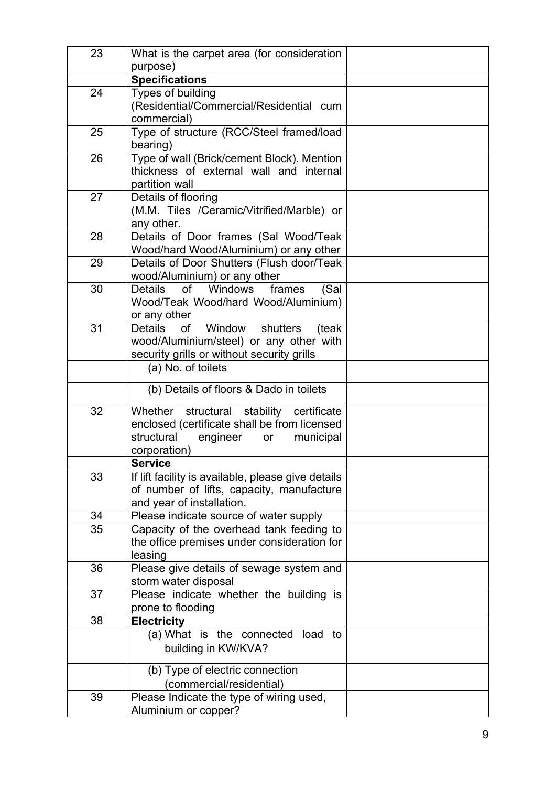| 23 | What is the carpet area (for consideration                       |  |
|----|------------------------------------------------------------------|--|
|    | purpose)                                                         |  |
|    | <b>Specifications</b>                                            |  |
| 24 | Types of building                                                |  |
|    | (Residential/Commercial/Residential cum                          |  |
|    | commercial)                                                      |  |
| 25 | Type of structure (RCC/Steel framed/load                         |  |
|    | bearing)                                                         |  |
| 26 | Type of wall (Brick/cement Block). Mention                       |  |
|    | thickness of external wall and internal                          |  |
|    | partition wall                                                   |  |
| 27 | Details of flooring                                              |  |
|    | (M.M. Tiles /Ceramic/Vitrified/Marble) or                        |  |
|    | any other.                                                       |  |
| 28 | Details of Door frames (Sal Wood/Teak                            |  |
|    | Wood/hard Wood/Aluminium) or any other                           |  |
| 29 | Details of Door Shutters (Flush door/Teak                        |  |
|    | wood/Aluminium) or any other                                     |  |
| 30 | of Windows<br><b>Details</b><br>frames<br>(Sal                   |  |
|    | Wood/Teak Wood/hard Wood/Aluminium)                              |  |
|    | or any other                                                     |  |
| 31 | of<br>Window<br><b>Details</b><br>shutters<br>(teak              |  |
|    | wood/Aluminium/steel) or any other with                          |  |
|    | security grills or without security grills<br>(a) No. of toilets |  |
|    |                                                                  |  |
|    | (b) Details of floors & Dado in toilets                          |  |
| 32 | stability certificate<br>Whether structural                      |  |
|    | enclosed (certificate shall be from licensed                     |  |
|    | structural<br>engineer<br>municipal<br>or                        |  |
|    | corporation)                                                     |  |
|    | <b>Service</b>                                                   |  |
| 33 | If lift facility is available, please give details               |  |
|    | of number of lifts, capacity, manufacture                        |  |
|    | and year of installation.                                        |  |
| 34 | Please indicate source of water supply                           |  |
| 35 | Capacity of the overhead tank feeding to                         |  |
|    | the office premises under consideration for                      |  |
|    | leasing                                                          |  |
| 36 | Please give details of sewage system and                         |  |
|    | storm water disposal                                             |  |
| 37 | Please indicate whether the building is                          |  |
| 38 | prone to flooding                                                |  |
|    | <b>Electricity</b><br>(a) What is the connected load to          |  |
|    |                                                                  |  |
|    | building in KW/KVA?                                              |  |
|    |                                                                  |  |
|    | (b) Type of electric connection                                  |  |
|    | (commercial/residential)                                         |  |
| 39 | Please Indicate the type of wiring used,                         |  |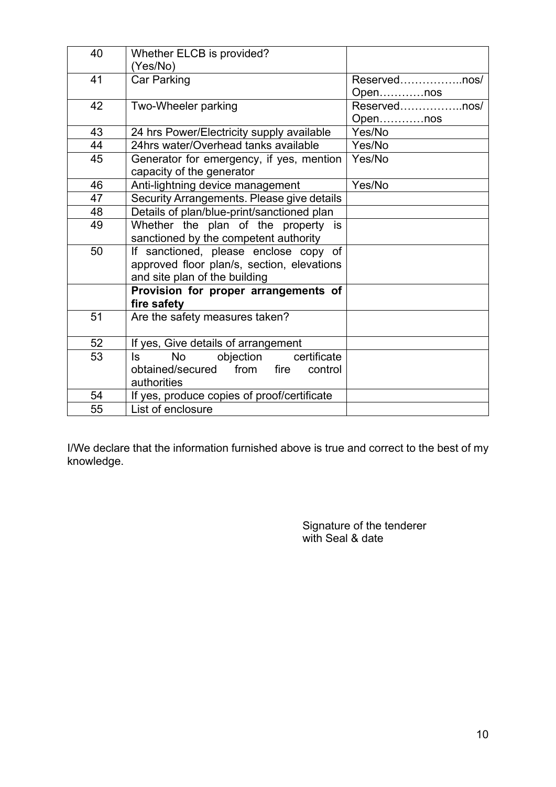| 40 | Whether ELCB is provided?                   |              |
|----|---------------------------------------------|--------------|
|    | (Yes/No)                                    |              |
| 41 | <b>Car Parking</b>                          | Reservednos/ |
|    |                                             | Opennos      |
| 42 | Two-Wheeler parking                         | Reservednos/ |
|    |                                             | Opennos      |
| 43 | 24 hrs Power/Electricity supply available   | Yes/No       |
| 44 | 24hrs water/Overhead tanks available        | Yes/No       |
| 45 | Generator for emergency, if yes, mention    | Yes/No       |
|    | capacity of the generator                   |              |
| 46 | Anti-lightning device management            | Yes/No       |
| 47 | Security Arrangements. Please give details  |              |
| 48 | Details of plan/blue-print/sanctioned plan  |              |
| 49 | Whether the plan of the property is         |              |
|    | sanctioned by the competent authority       |              |
| 50 | If sanctioned, please enclose copy of       |              |
|    | approved floor plan/s, section, elevations  |              |
|    | and site plan of the building               |              |
|    | Provision for proper arrangements of        |              |
|    | fire safety                                 |              |
| 51 | Are the safety measures taken?              |              |
|    |                                             |              |
| 52 | If yes, Give details of arrangement         |              |
| 53 | certificate<br>No<br>objection<br>ls.       |              |
|    | obtained/secured from fire<br>control       |              |
|    | authorities                                 |              |
| 54 | If yes, produce copies of proof/certificate |              |
| 55 | List of enclosure                           |              |

I/We declare that the information furnished above is true and correct to the best of my knowledge.

> Signature of the tenderer with Seal & date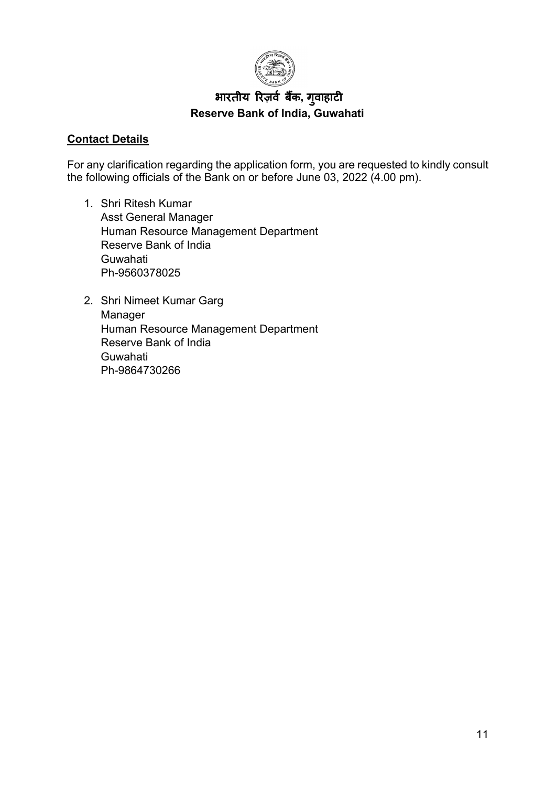

## भारतीय रिज़र्व बैंक, गुवाहाटी **Reserve Bank of India, Guwahati**

### **Contact Details**

For any clarification regarding the application form, you are requested to kindly consult the following officials of the Bank on or before June 03, 2022 (4.00 pm).

- 1. Shri Ritesh Kumar Asst General Manager Human Resource Management Department Reserve Bank of India Guwahati Ph-9560378025
- 2. Shri Nimeet Kumar Garg Manager Human Resource Management Department Reserve Bank of India Guwahati Ph-9864730266